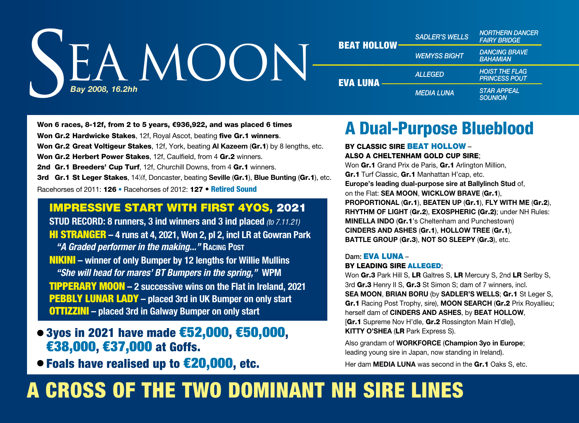

| <b>BEAT HOLLOW</b> | <b>SADLER'S WELLS</b> | <b>NORTHERN DANCER</b><br><b>FAIRY BRIDGE</b> |
|--------------------|-----------------------|-----------------------------------------------|
|                    | <b>WEMYSS BIGHT</b>   | <b>DANCING BRAVE</b><br><b>BAHAMIAN</b>       |
| EVA LUNA           | <b>ALLEGED</b>        | <b>HOIST THE FLAG</b><br><b>PRINCESS POUT</b> |
|                    | <b>MEDIA LUNA</b>     | <b>STAR APPEAL</b><br><b>SOUNION</b>          |

Won 6 races, 8-12f, from 2 to 5 years, €936,922, and was placed 6 times Won Gr.2 Hardwicke Stakes, 12f, Royal Ascot, beating five Gr.1 winners. Won Gr.2 Great Voltigeur Stakes, 12f, York, beating **Al Kazeem** (Gr.1) by 8 lengths, etc. Won Gr.2 Herbert Power Stakes, 12f, Caulfield, from 4 Gr.2 winners. 2nd Gr.1 Breeders' Cup Turf, 12f, Churchill Downs, from 4 Gr.1 winners. 3rd Gr.1 St Leger Stakes, 141 ⁄2f, Doncaster, beating **Seville** (Gr.1), **Blue Bunting** (Gr.1), etc. Racehorses of 2011: 126 • Racehorses of 2012: 127 • Retired Sound

### IMPRESSIVE START WITH FIRST 4YOS, 2021

**STUD RECORD: 8 runners, 3 ind winners and 3 ind placed** *(to 7.11.21)* HI STRANGER **– 4 runs at 4, 2021, Won 2, pl 2, incl LR at Gowran Park** *"A Graded performer in the making..."* **Racing Post** NIKINI **– winner of only Bumper by 12 lengths for Willie Mullins** *"She will head for mares' BT Bumpers in the spring,"* **WPM** TIPPERARY MOON **– 2 successive wins on the Flat in Ireland, 2021** PEBBLY LUNAR LADY **– placed 3rd in UK Bumper on only start** OTTIZZINI **– placed 3rd in Galway Bumper on only start**

- 3yos in 2021 have made €52,000, €50,000, €38,000, €37,000 at Goffs.
- Foals have realised up to €20,000, etc.

## A Dual-Purpose Blueblood

#### BY CLASSIC SIRE BEAT HOLLOW – ALSO A CHELTENHAM GOLD CUP SIRE;

Won Gr.1 Grand Prix de Paris, Gr.1 Arlington Million, Gr.1 Turf Classic, Gr.1 Manhattan H'cap, etc. **Europe's leading dual-purpose sire at Ballylinch Stud** of, on the Flat: **SEA MOON**, **WICKLOW BRAVE** (Gr.1), **PROPORTIONAL** (Gr.1), **BEATEN UP** (Gr.1), **FLY WITH ME** (Gr.2), **RHYTHM OF LIGHT** (Gr.2), **EXOSPHERIC (**Gr.2**)**; under NH Rules: **MINELLA INDO** (Gr.1's Cheltenham and Punchestown) **CINDERS AND ASHES** (Gr.1), **HOLLOW TREE** (Gr.1), **BATTLE GROUP** (Gr.3), **NOT SO SLEEPY** (Gr.3), etc.

#### Dam: EVA LUNA –

#### BY LEADING SIRE ALLEGED;

Won Gr.3 Park Hill S, LR Galtres S, LR Mercury S, 2nd LR Serlby S, 3rd Gr.3 Henry II S, Gr.3 St Simon S; dam of 7 winners, incl. **SEA MOON**, **BRIAN BORU** (by **SADLER'S WELLS**; Gr.1 St Leger S, Gr.1 Racing Post Trophy, sire), **MOON SEARCH** (Gr.2 Prix Royallieu; herself dam of **CINDERS AND ASHES**, by **BEAT HOLLOW**, [Gr.1 Supreme Nov H'dle, Gr.2 Rossington Main H'dle]), **KITTY O'SHEA** (LR Park Express S).

Also grandam of **WORKFORCE** (**Champion 3yo in Europe**; leading young sire in Japan, now standing in Ireland).

Her dam **MEDIA LUNA** was second in the Gr.1 Oaks S, etc.

# A CROSS OF THE TWO DOMINANT NH SIRE LINES